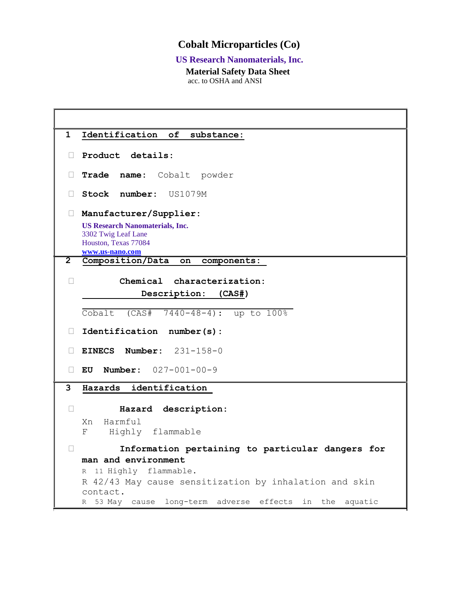# **Cobalt Microparticles (Co)**

## **US Research Nanomaterials, Inc.**

ŦÍ.

 **Material Safety Data Sheet** acc. to OSHA and ANSI

F

| Identification of<br>$\mathbf 1$<br>substance:                                                           |  |  |
|----------------------------------------------------------------------------------------------------------|--|--|
| Product details:<br>$\Box$                                                                               |  |  |
| Trade name:<br>Cobalt powder                                                                             |  |  |
| Stock number: US1079M<br>Н                                                                               |  |  |
| Manufacturer/Supplier:<br>$\Box$                                                                         |  |  |
| <b>US Research Nanomaterials, Inc.</b><br>3302 Twig Leaf Lane<br>Houston, Texas 77084<br>www.us-nano.com |  |  |
| $\overline{2}$<br>Composition/Data<br>components:<br>on                                                  |  |  |
| Chemical characterization:<br>$\mathbf{L}$                                                               |  |  |
| Description: (CAS#)                                                                                      |  |  |
|                                                                                                          |  |  |
| Cobalt<br>$(CAS# 7440-48-4):$ up to $100%$                                                               |  |  |
| Identification number(s):<br>$\Box$                                                                      |  |  |
| EINECS Number: $231-158-0$                                                                               |  |  |
| <b>Number:</b> $027-001-00-9$<br>Н<br>EU                                                                 |  |  |
| 3<br>identification<br>Hazards                                                                           |  |  |
| П                                                                                                        |  |  |
| Hazard description:<br>Harmful<br>Xn                                                                     |  |  |
| Highly flammable<br>F                                                                                    |  |  |
|                                                                                                          |  |  |
| Information pertaining to particular dangers<br>for                                                      |  |  |
| man and environment<br>11 Highly flammable.                                                              |  |  |
| R<br>R 42/43 May cause sensitization by inhalation and skin                                              |  |  |
| contact.                                                                                                 |  |  |
| 53 May cause long-term adverse effects in the<br>aquatic<br>R                                            |  |  |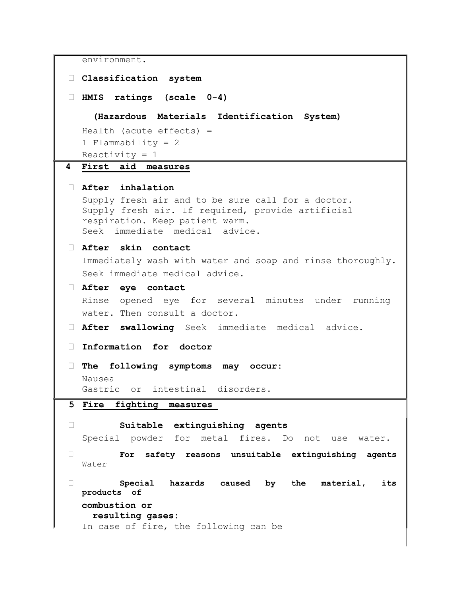```
environment.
 Classification system 
 HMIS ratings (scale 0-4) 
    (Hazardous Materials Identification System)
  Health (acute effects) = 
  1 Flammability = 2 
  Reactivity = 14 First aid measures
 After inhalation 
  Supply fresh air and to be sure call for a doctor. 
  Supply fresh air. If required, provide artificial 
  respiration. Keep patient warm. 
  Seek immediate medical advice. 
 After skin contact 
  Immediately wash with water and soap and rinse thoroughly. 
  Seek immediate medical advice. 
 After eye contact 
  Rinse opened eye for several minutes under running 
  water. Then consult a doctor.
 After swallowing Seek immediate medical advice.
 Information for doctor 
 The following symptoms may occur: 
  Nausea 
  Gastric or intestinal disorders. 
5 Fire fighting measures 
 Suitable extinguishing agents 
  Special powder for metal fires. Do not use water. 
 For safety reasons unsuitable extinguishing agents 
  Water
 Special hazards caused by the material, its 
  products of 
  combustion or 
    resulting gases:
  In case of fire, the following can be
```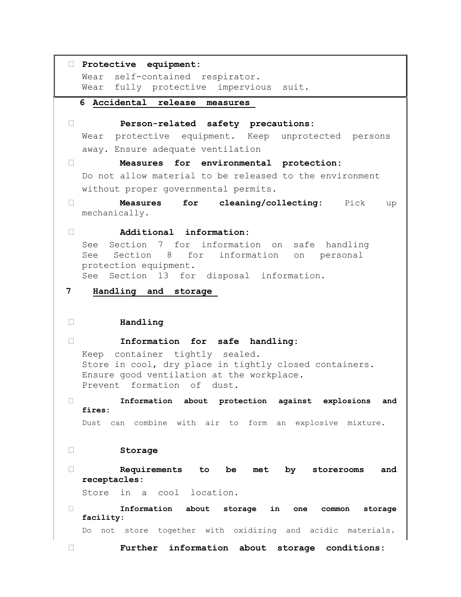```
 Protective equipment: 
  Wear self-contained respirator. 
  Wear fully protective impervious suit. 
  6 Accidental release measures 
 Person-related safety precautions: 
  Wear protective equipment. Keep unprotected persons 
  away. Ensure adequate ventilation 
 Measures for environmental protection: 
  Do not allow material to be released to the environment 
  without proper governmental permits. 
 Measures for cleaning/collecting: Pick up 
  mechanically.
 Additional information: 
  See Section 7 for information on safe handling 
  See Section 8 for information on personal 
  protection equipment. 
  See Section 13 for disposal information. 
7 Handling and storage 
 Handling 
 Information for safe handling: 
  Keep container tightly sealed. 
  Store in cool, dry place in tightly closed containers. 
  Ensure good ventilation at the workplace. 
  Prevent formation of dust. 
 Information about protection against explosions and 
  fires: 
  Dust can combine with air to form an explosive mixture. 
 Storage 
 Requirements to be met by storerooms and 
  receptacles: 
  Store in a cool location. 
 Information about storage in one common storage 
  facility: 
  Do not store together with oxidizing and acidic materials. 
 Further information about storage conditions:
```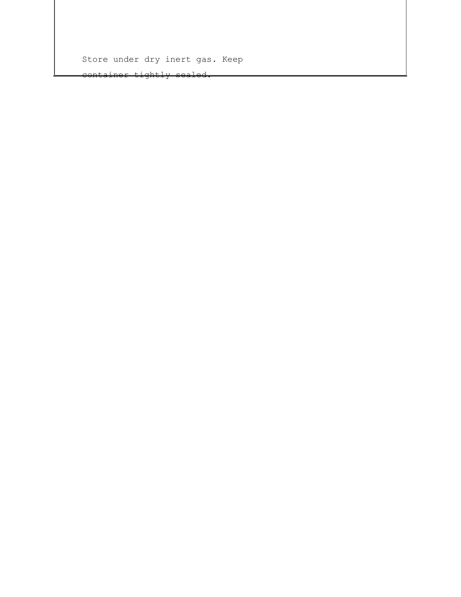Store under dry inert gas. Keep

container tightly sealed.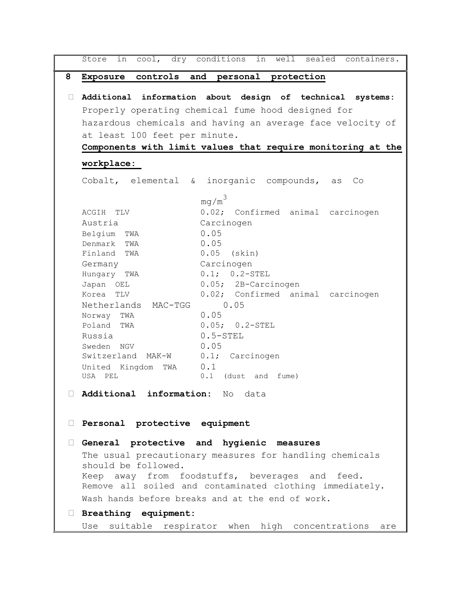```
Store in cool, dry conditions in well sealed containers.
8 Exposure controls and personal protection
 Additional information about design of technical systems: 
  Properly operating chemical fume hood designed for 
  hazardous chemicals and having an average face velocity of 
  at least 100 feet per minute. 
  Components with limit values that require monitoring at the 
  workplace: 
  Cobalt, elemental & inorganic compounds, as Co
                     ma/m<sup>3</sup>ACGIH TLV 0.02; Confirmed animal carcinogen
  Austria Carcinogen
  Belgium TWA 0.05
  Denmark TWA 0.05
  Finland TWA 0.05 (skin)
  Germany Carcinogen
  Hungary TWA 0.1; 0.2-STEL
  Japan OEL 0.05; 2B-Carcinogen
  Korea TLV 0.02; Confirmed animal carcinogen
  Netherlands MAC-TGG 0.05
  Norway TWA 0.05
  Poland TWA 0.05; 0.2\text{-STEL}Russia 0.5-STEL
  Sweden NGV 0.05
  Switzerland MAK-W 0.1; Carcinogen
  United Kingdom TWA 0.1
  USA PEL 0.1 (dust and fume)
 Additional information: No data
 Personal protective equipment 
 General protective and hygienic measures 
  The usual precautionary measures for handling chemicals 
  should be followed. 
  Keep away from foodstuffs, beverages and feed. 
  Remove all soiled and contaminated clothing immediately. 
  Wash hands before breaks and at the end of work. 
 Breathing equipment: 
  Use suitable respirator when high concentrations are
```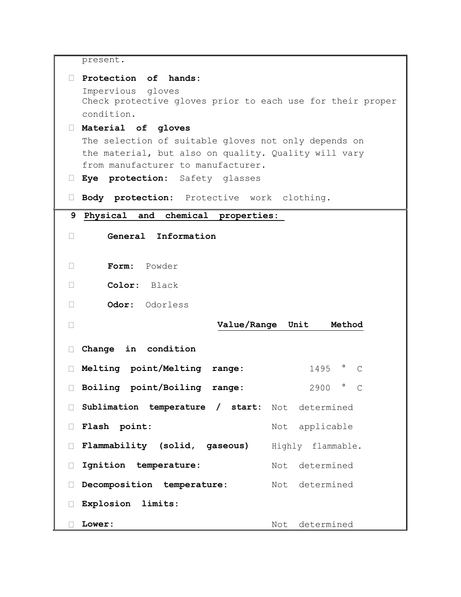present.

| Protection of hands:                                       |                                    |  |
|------------------------------------------------------------|------------------------------------|--|
| Impervious gloves                                          |                                    |  |
| Check protective gloves prior to each use for their proper |                                    |  |
| condition.                                                 |                                    |  |
| Material of gloves                                         |                                    |  |
| The selection of suitable gloves not only depends on       |                                    |  |
| the material, but also on quality. Quality will vary       |                                    |  |
| from manufacturer to manufacturer.                         |                                    |  |
|                                                            |                                    |  |
| Eye protection: Safety glasses<br>L.                       |                                    |  |
| Body protection: Protective work clothing.<br>U.           |                                    |  |
|                                                            |                                    |  |
| Physical and chemical properties:<br>9                     |                                    |  |
| General Information<br>$\Box$                              |                                    |  |
|                                                            |                                    |  |
|                                                            |                                    |  |
| Form: Powder<br>П                                          |                                    |  |
|                                                            |                                    |  |
| Color: Black<br>П                                          |                                    |  |
| Odor: Odorless<br>$\overline{\phantom{a}}$                 |                                    |  |
|                                                            |                                    |  |
| Value/Range Unit<br>□                                      | Method                             |  |
|                                                            |                                    |  |
| Change in condition<br>$\mathbf{L}$                        |                                    |  |
| Melting point/Melting range:<br>Ш                          | $1495$ $^{\circ}$<br>$\mathcal{C}$ |  |
|                                                            |                                    |  |
| Boiling point/Boiling range:<br>П                          | $\circ$<br>2900<br>$\overline{C}$  |  |
|                                                            |                                    |  |
| Sublimation temperature / start: Not determined<br>$\Box$  |                                    |  |
| Flash point:                                               | Not applicable                     |  |
|                                                            |                                    |  |
| Flammability (solid, gaseous)<br>Ш                         | Highly flammable.                  |  |
|                                                            |                                    |  |
| Ignition temperature:<br>$\Box$                            | Not determined                     |  |
| Decomposition temperature:<br>Н                            | Not determined                     |  |
|                                                            |                                    |  |
| Explosion limits:<br>П                                     |                                    |  |
|                                                            |                                    |  |
| Lower:                                                     | determined<br>Not                  |  |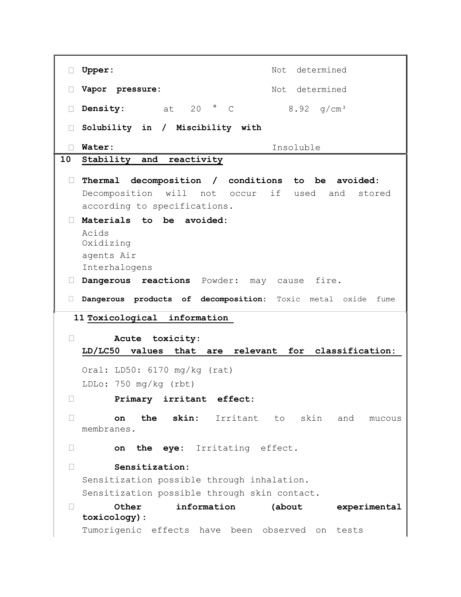□ Upper: Not determined □ Vapor pressure: Not determined **Density:** at 20 ° C 8.92 g/cm³ **Solubility in / Miscibility with Water:** Insoluble **10 Stability and reactivity Thermal decomposition / conditions to be avoided:**  Decomposition will not occur if used and stored according to specifications. **Materials to be avoided:**  Acids Oxidizing agents Air Interhalogens **Dangerous reactions** Powder: may cause fire. **Dangerous products of decomposition:** Toxic metal oxide fume **11 Toxicological information Acute toxicity: LD/LC50 values that are relevant for classification:**  Oral: LD50: 6170 mg/kg (rat) LDLo: 750 mg/kg (rbt) **Primary irritant effect: on the skin:** Irritant to skin and mucous membranes. **on the eye:** Irritating effect. **Sensitization:**  Sensitization possible through inhalation. Sensitization possible through skin contact. **Other information (about experimental toxicology):**  Tumorigenic effects have been observed on tests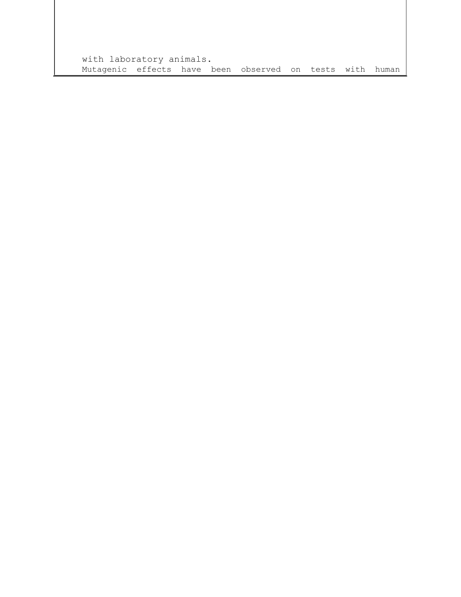with laboratory animals. Mutagenic effects have been observed on tests with human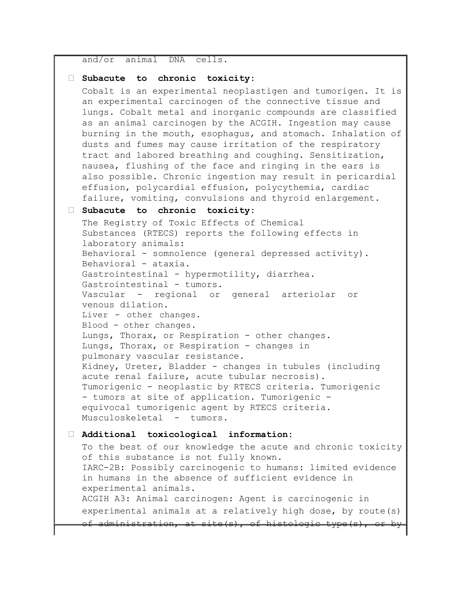and/or animal DNA cells.

#### **Subacute to chronic toxicity:**

Cobalt is an experimental neoplastigen and tumorigen. It is an experimental carcinogen of the connective tissue and lungs. Cobalt metal and inorganic compounds are classified as an animal carcinogen by the ACGIH. Ingestion may cause burning in the mouth, esophagus, and stomach. Inhalation of dusts and fumes may cause irritation of the respiratory tract and labored breathing and coughing. Sensitization, nausea, flushing of the face and ringing in the ears is also possible. Chronic ingestion may result in pericardial effusion, polycardial effusion, polycythemia, cardiac failure, vomiting, convulsions and thyroid enlargement.

#### **Subacute to chronic toxicity:**

The Registry of Toxic Effects of Chemical Substances (RTECS) reports the following effects in laboratory animals: Behavioral - somnolence (general depressed activity). Behavioral - ataxia. Gastrointestinal - hypermotility, diarrhea. Gastrointestinal - tumors. Vascular - regional or general arteriolar or venous dilation. Liver - other changes. Blood - other changes. Lungs, Thorax, or Respiration - other changes. Lungs, Thorax, or Respiration - changes in pulmonary vascular resistance. Kidney, Ureter, Bladder - changes in tubules (including acute renal failure, acute tubular necrosis). Tumorigenic - neoplastic by RTECS criteria. Tumorigenic - tumors at site of application. Tumorigenic equivocal tumorigenic agent by RTECS criteria. Musculoskeletal - tumors.

#### **Additional toxicological information:**

To the best of our knowledge the acute and chronic toxicity of this substance is not fully known. IARC-2B: Possibly carcinogenic to humans: limited evidence in humans in the absence of sufficient evidence in experimental animals. ACGIH A3: Animal carcinogen: Agent is carcinogenic in experimental animals at a relatively high dose, by route(s) of administration, at site(s), of histologic type(s),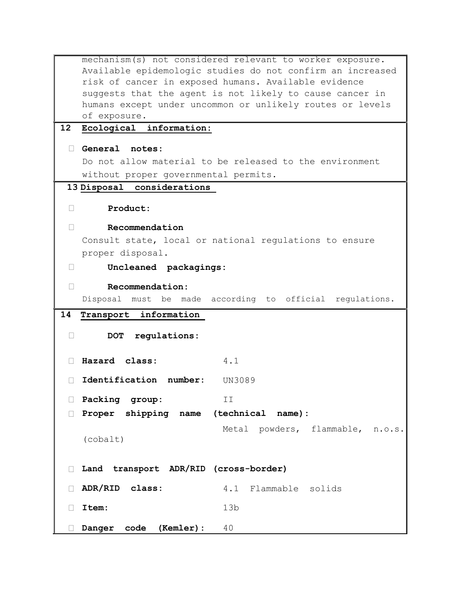```
mechanism(s) not considered relevant to worker exposure. 
   Available epidemologic studies do not confirm an increased 
   risk of cancer in exposed humans. Available evidence 
   suggests that the agent is not likely to cause cancer in 
   humans except under uncommon or unlikely routes or levels 
   of exposure.
12 Ecological information:
  General notes: 
   Do not allow material to be released to the environment 
   without proper governmental permits. 
 13 Disposal considerations 
  Product: 
  Recommendation 
   Consult state, local or national regulations to ensure 
   proper disposal. 
  Uncleaned packagings: 
  Recommendation: 
   Disposal must be made according to official regulations. 
14 Transport information 
  DOT regulations: 
  Hazard class: 4.1
  Identification number: UN3089
  Packing group: II
  Proper shipping name (technical name):
   (cobalt)
                           Metal powders, flammable, n.o.s.
  Land transport ADR/RID (cross-border)
  ADR/RID class: 4.1 Flammable solids
  Item: 13b
  Danger code (Kemler): 40
```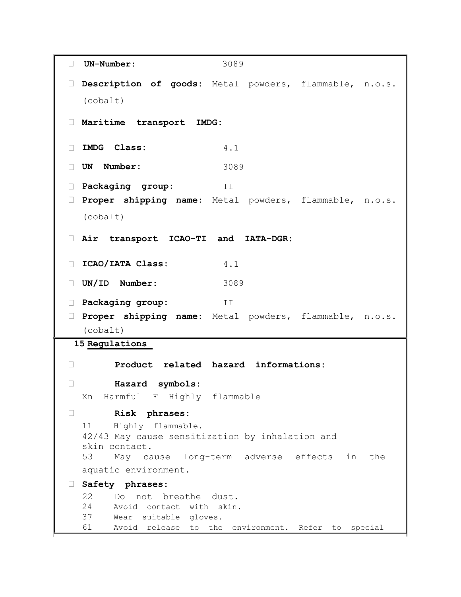```
 UN-Number: 3089
 Description of goods: Metal powders, flammable, n.o.s.
  (cobalt) 
 Maritime transport IMDG: 
 IMDG Class: 4.1
 UN Number: 3089
 Packaging group: II
 Proper shipping name: Metal powders, flammable, n.o.s.
  (cobalt) 
 Air transport ICAO-TI and IATA-DGR: 
 ICAO/IATA Class: 4.1
 UN/ID Number: 3089
 Packaging group: II
 Proper shipping name: Metal powders, flammable, n.o.s.
  (cobalt) 
15 Regulations 
 Product related hazard informations: 
 Hazard symbols: 
  Xn Harmful F Highly flammable 
 Risk phrases: 
  11 Highly flammable.
  42/43 May cause sensitization by inhalation and 
  skin contact.
  53 May cause long-term adverse effects in the 
  aquatic environment. 
 Safety phrases: 
  22 Do not breathe dust. 
  24 Avoid contact with skin.
  37 Wear suitable gloves.
  61 Avoid release to the environment. Refer to special
```